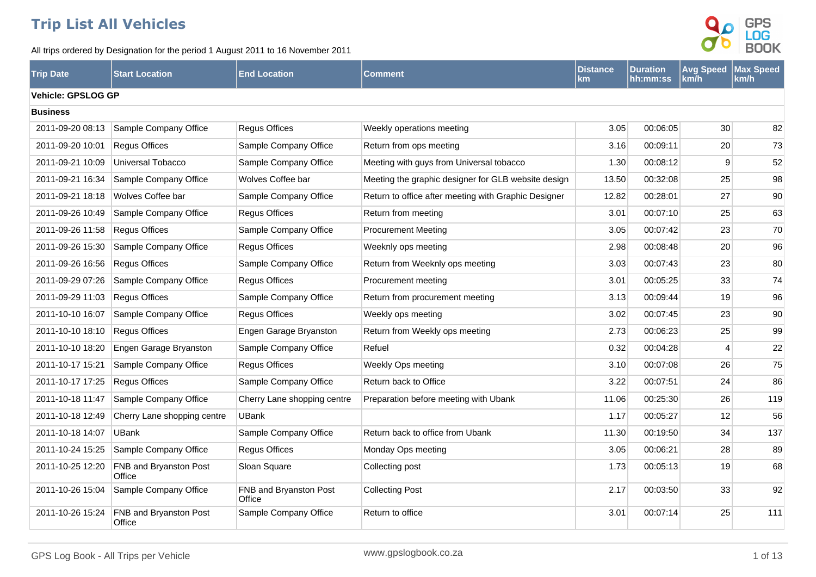## **Trip List All Vehicles**

## All trips ordered by Designation for the period 1 August 2011 to 16 November 2011



| <b>Trip Date</b>          | <b>Start Location</b>            | <b>End Location</b>              | <b>Comment</b>                                       | <b>Distance</b><br>km | <b>Duration</b><br>hh:mm:ss | <b>Avg Speed</b><br>km/h | Max Speed<br>km/h |
|---------------------------|----------------------------------|----------------------------------|------------------------------------------------------|-----------------------|-----------------------------|--------------------------|-------------------|
| <b>Vehicle: GPSLOG GP</b> |                                  |                                  |                                                      |                       |                             |                          |                   |
| <b>Business</b>           |                                  |                                  |                                                      |                       |                             |                          |                   |
| 2011-09-20 08:13          | Sample Company Office            | <b>Regus Offices</b>             | Weekly operations meeting                            | 3.05                  | 00:06:05                    | 30                       | 82                |
| 2011-09-20 10:01          | <b>Regus Offices</b>             | Sample Company Office            | Return from ops meeting                              | 3.16                  | 00:09:11                    | 20                       | 73                |
| 2011-09-21 10:09          | Universal Tobacco                | Sample Company Office            | Meeting with guys from Universal tobacco             | 1.30                  | 00:08:12                    | 9                        | 52                |
| 2011-09-21 16:34          | Sample Company Office            | Wolves Coffee bar                | Meeting the graphic designer for GLB website design  | 13.50                 | 00:32:08                    | 25                       | 98                |
| 2011-09-21 18:18          | Wolves Coffee bar                | Sample Company Office            | Return to office after meeting with Graphic Designer | 12.82                 | 00:28:01                    | 27                       | 90                |
| 2011-09-26 10:49          | Sample Company Office            | <b>Regus Offices</b>             | Return from meeting                                  | 3.01                  | 00:07:10                    | 25                       | 63                |
| 2011-09-26 11:58          | <b>Regus Offices</b>             | Sample Company Office            | <b>Procurement Meeting</b>                           | 3.05                  | 00:07:42                    | 23                       | 70                |
| 2011-09-26 15:30          | Sample Company Office            | Regus Offices                    | Weeknly ops meeting                                  | 2.98                  | 00:08:48                    | 20                       | 96                |
| 2011-09-26 16:56          | <b>Regus Offices</b>             | Sample Company Office            | Return from Weeknly ops meeting                      | 3.03                  | 00:07:43                    | 23                       | 80                |
| 2011-09-29 07:26          | Sample Company Office            | <b>Regus Offices</b>             | Procurement meeting                                  | 3.01                  | 00:05:25                    | 33                       | 74                |
| 2011-09-29 11:03          | <b>Regus Offices</b>             | Sample Company Office            | Return from procurement meeting                      | 3.13                  | 00:09:44                    | 19                       | 96                |
| 2011-10-10 16:07          | Sample Company Office            | <b>Regus Offices</b>             | Weekly ops meeting                                   | 3.02                  | 00:07:45                    | 23                       | 90                |
| 2011-10-10 18:10          | Regus Offices                    | Engen Garage Bryanston           | Return from Weekly ops meeting                       | 2.73                  | 00:06:23                    | 25                       | 99                |
| 2011-10-10 18:20          | Engen Garage Bryanston           | Sample Company Office            | Refuel                                               | 0.32                  | 00:04:28                    | 4                        | 22                |
| 2011-10-17 15:21          | Sample Company Office            | Regus Offices                    | Weekly Ops meeting                                   | 3.10                  | 00:07:08                    | 26                       | 75                |
| 2011-10-17 17:25          | Regus Offices                    | Sample Company Office            | Return back to Office                                | 3.22                  | 00:07:51                    | 24                       | 86                |
| 2011-10-18 11:47          | Sample Company Office            | Cherry Lane shopping centre      | Preparation before meeting with Ubank                | 11.06                 | 00:25:30                    | 26                       | 119               |
| 2011-10-18 12:49          | Cherry Lane shopping centre      | <b>UBank</b>                     |                                                      | 1.17                  | 00:05:27                    | 12                       | 56                |
| 2011-10-18 14:07          | UBank                            | Sample Company Office            | Return back to office from Ubank                     | 11.30                 | 00:19:50                    | 34                       | 137               |
| 2011-10-24 15:25          | Sample Company Office            | <b>Regus Offices</b>             | Monday Ops meeting                                   | 3.05                  | 00:06:21                    | 28                       | 89                |
| 2011-10-25 12:20          | FNB and Bryanston Post<br>Office | Sloan Square                     | Collecting post                                      | 1.73                  | 00:05:13                    | 19                       | 68                |
| 2011-10-26 15:04          | Sample Company Office            | FNB and Bryanston Post<br>Office | <b>Collecting Post</b>                               | 2.17                  | 00:03:50                    | 33                       | 92                |
| 2011-10-26 15:24          | FNB and Bryanston Post<br>Office | Sample Company Office            | Return to office                                     | 3.01                  | 00:07:14                    | 25                       | 111               |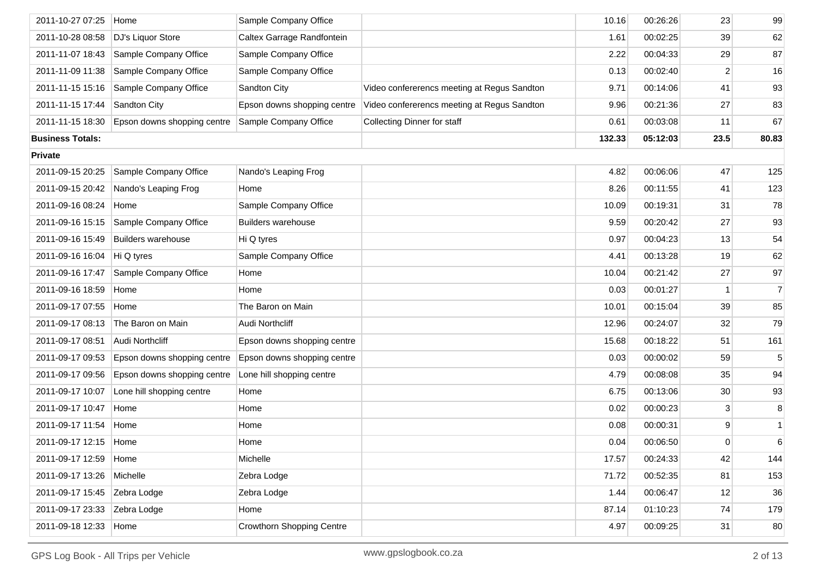| 62<br>2011-10-28 08:58<br>DJ's Liquor Store<br>Caltex Garrage Randfontein<br>1.61<br>00:02:25<br>39<br>2011-11-07 18:43<br>Sample Company Office<br>Sample Company Office<br>2.22<br>00:04:33<br>29<br>87<br>2<br>2011-11-09 11:38<br>Sample Company Office<br>Sample Company Office<br>00:02:40<br>16<br>0.13<br>2011-11-15 15:16<br>41<br>93<br>Sample Company Office<br>Sandton City<br>Video confererencs meeting at Regus Sandton<br>00:14:06<br>9.71<br>2011-11-15 17:44<br>Sandton City<br>Epson downs shopping centre<br>Video confererencs meeting at Regus Sandton<br>9.96<br>00:21:36<br>27<br>83<br>Sample Company Office<br>2011-11-15 18:30<br>Epson downs shopping centre<br><b>Collecting Dinner for staff</b><br>00:03:08<br>67<br>0.61<br>11<br>05:12:03<br>132.33<br>23.5<br>80.83<br>2011-09-15 20:25<br>Sample Company Office<br>Nando's Leaping Frog<br>4.82<br>00:06:06<br>47<br>125<br>2011-09-15 20:42<br>8.26<br>00:11:55<br>41<br>123<br>Nando's Leaping Frog<br>Home<br>Sample Company Office<br>2011-09-16 08:24<br>00:19:31<br>31<br>78<br>Home<br>10.09<br>2011-09-16 15:15<br>Sample Company Office<br><b>Builders warehouse</b><br>9.59<br>00:20:42<br>27<br>93<br>2011-09-16 15:49<br>00:04:23<br><b>Builders warehouse</b><br>0.97<br>13<br>54<br>Hi Q tyres<br>00:13:28<br>2011-09-16 16:04<br>Sample Company Office<br>4.41<br>19<br>62<br>Hi Q tyres<br>2011-09-16 17:47<br>Sample Company Office<br>00:21:42<br>27<br>97<br>Home<br>10.04<br>00:01:27<br>$\overline{7}$<br>2011-09-16 18:59<br>0.03<br>Home<br>Home<br>1<br>2011-09-17 07:55<br>The Baron on Main<br>10.01<br>00:15:04<br>39<br>85<br>Home<br>Audi Northcliff<br>00:24:07<br>2011-09-17 08:13<br>The Baron on Main<br>12.96<br>32<br>79<br>51<br>161<br>2011-09-17 08:51<br>Audi Northcliff<br>Epson downs shopping centre<br>15.68<br>00:18:22<br>2011-09-17 09:53<br>Epson downs shopping centre<br>Epson downs shopping centre<br>0.03<br>00:00:02<br>59<br>5<br>2011-09-17 09:56<br>Lone hill shopping centre<br>00:08:08<br>35<br>94<br>Epson downs shopping centre<br>4.79<br>2011-09-17 10:07<br>Lone hill shopping centre<br>6.75<br>00:13:06<br>30<br>93<br>Home<br>3<br>2011-09-17 10:47<br>00:00:23<br>8<br>Home<br>Home<br>0.02<br>2011-09-17 11:54<br>9<br>0.08<br>00:00:31<br>Home<br>Home<br>-1<br>2011-09-17 12:15<br>0.04<br>00:06:50<br>$\overline{0}$<br>6<br>Home<br>Home<br>2011-09-17 12:59<br>Michelle<br>17.57<br>00:24:33<br>42<br>144<br>Home<br>Zebra Lodge<br>2011-09-17 13:26<br>Michelle<br>71.72<br>00:52:35<br>81<br>2011-09-17 15:45<br>Zebra Lodge<br>Zebra Lodge<br>1.44<br>00:06:47<br>12<br>2011-09-17 23:33<br>Zebra Lodge<br>87.14<br>01:10:23<br>74<br>179<br>Home<br>2011-09-18 12:33<br><b>Crowthorn Shopping Centre</b><br>00:09:25<br>31<br>Home<br>4.97 | 2011-10-27 07:25        | Home | Sample Company Office | 10.16 | 00:26:26 | 23 | 99  |
|-------------------------------------------------------------------------------------------------------------------------------------------------------------------------------------------------------------------------------------------------------------------------------------------------------------------------------------------------------------------------------------------------------------------------------------------------------------------------------------------------------------------------------------------------------------------------------------------------------------------------------------------------------------------------------------------------------------------------------------------------------------------------------------------------------------------------------------------------------------------------------------------------------------------------------------------------------------------------------------------------------------------------------------------------------------------------------------------------------------------------------------------------------------------------------------------------------------------------------------------------------------------------------------------------------------------------------------------------------------------------------------------------------------------------------------------------------------------------------------------------------------------------------------------------------------------------------------------------------------------------------------------------------------------------------------------------------------------------------------------------------------------------------------------------------------------------------------------------------------------------------------------------------------------------------------------------------------------------------------------------------------------------------------------------------------------------------------------------------------------------------------------------------------------------------------------------------------------------------------------------------------------------------------------------------------------------------------------------------------------------------------------------------------------------------------------------------------------------------------------------------------------------------------------------------------------------------------------------------------------------------------------------------------------------------------------------------------------------------------------------------------------------------------------------------------|-------------------------|------|-----------------------|-------|----------|----|-----|
|                                                                                                                                                                                                                                                                                                                                                                                                                                                                                                                                                                                                                                                                                                                                                                                                                                                                                                                                                                                                                                                                                                                                                                                                                                                                                                                                                                                                                                                                                                                                                                                                                                                                                                                                                                                                                                                                                                                                                                                                                                                                                                                                                                                                                                                                                                                                                                                                                                                                                                                                                                                                                                                                                                                                                                                                             |                         |      |                       |       |          |    |     |
|                                                                                                                                                                                                                                                                                                                                                                                                                                                                                                                                                                                                                                                                                                                                                                                                                                                                                                                                                                                                                                                                                                                                                                                                                                                                                                                                                                                                                                                                                                                                                                                                                                                                                                                                                                                                                                                                                                                                                                                                                                                                                                                                                                                                                                                                                                                                                                                                                                                                                                                                                                                                                                                                                                                                                                                                             |                         |      |                       |       |          |    |     |
|                                                                                                                                                                                                                                                                                                                                                                                                                                                                                                                                                                                                                                                                                                                                                                                                                                                                                                                                                                                                                                                                                                                                                                                                                                                                                                                                                                                                                                                                                                                                                                                                                                                                                                                                                                                                                                                                                                                                                                                                                                                                                                                                                                                                                                                                                                                                                                                                                                                                                                                                                                                                                                                                                                                                                                                                             |                         |      |                       |       |          |    |     |
|                                                                                                                                                                                                                                                                                                                                                                                                                                                                                                                                                                                                                                                                                                                                                                                                                                                                                                                                                                                                                                                                                                                                                                                                                                                                                                                                                                                                                                                                                                                                                                                                                                                                                                                                                                                                                                                                                                                                                                                                                                                                                                                                                                                                                                                                                                                                                                                                                                                                                                                                                                                                                                                                                                                                                                                                             |                         |      |                       |       |          |    |     |
|                                                                                                                                                                                                                                                                                                                                                                                                                                                                                                                                                                                                                                                                                                                                                                                                                                                                                                                                                                                                                                                                                                                                                                                                                                                                                                                                                                                                                                                                                                                                                                                                                                                                                                                                                                                                                                                                                                                                                                                                                                                                                                                                                                                                                                                                                                                                                                                                                                                                                                                                                                                                                                                                                                                                                                                                             |                         |      |                       |       |          |    |     |
|                                                                                                                                                                                                                                                                                                                                                                                                                                                                                                                                                                                                                                                                                                                                                                                                                                                                                                                                                                                                                                                                                                                                                                                                                                                                                                                                                                                                                                                                                                                                                                                                                                                                                                                                                                                                                                                                                                                                                                                                                                                                                                                                                                                                                                                                                                                                                                                                                                                                                                                                                                                                                                                                                                                                                                                                             |                         |      |                       |       |          |    |     |
|                                                                                                                                                                                                                                                                                                                                                                                                                                                                                                                                                                                                                                                                                                                                                                                                                                                                                                                                                                                                                                                                                                                                                                                                                                                                                                                                                                                                                                                                                                                                                                                                                                                                                                                                                                                                                                                                                                                                                                                                                                                                                                                                                                                                                                                                                                                                                                                                                                                                                                                                                                                                                                                                                                                                                                                                             | <b>Business Totals:</b> |      |                       |       |          |    |     |
|                                                                                                                                                                                                                                                                                                                                                                                                                                                                                                                                                                                                                                                                                                                                                                                                                                                                                                                                                                                                                                                                                                                                                                                                                                                                                                                                                                                                                                                                                                                                                                                                                                                                                                                                                                                                                                                                                                                                                                                                                                                                                                                                                                                                                                                                                                                                                                                                                                                                                                                                                                                                                                                                                                                                                                                                             | <b>Private</b>          |      |                       |       |          |    |     |
|                                                                                                                                                                                                                                                                                                                                                                                                                                                                                                                                                                                                                                                                                                                                                                                                                                                                                                                                                                                                                                                                                                                                                                                                                                                                                                                                                                                                                                                                                                                                                                                                                                                                                                                                                                                                                                                                                                                                                                                                                                                                                                                                                                                                                                                                                                                                                                                                                                                                                                                                                                                                                                                                                                                                                                                                             |                         |      |                       |       |          |    |     |
|                                                                                                                                                                                                                                                                                                                                                                                                                                                                                                                                                                                                                                                                                                                                                                                                                                                                                                                                                                                                                                                                                                                                                                                                                                                                                                                                                                                                                                                                                                                                                                                                                                                                                                                                                                                                                                                                                                                                                                                                                                                                                                                                                                                                                                                                                                                                                                                                                                                                                                                                                                                                                                                                                                                                                                                                             |                         |      |                       |       |          |    |     |
|                                                                                                                                                                                                                                                                                                                                                                                                                                                                                                                                                                                                                                                                                                                                                                                                                                                                                                                                                                                                                                                                                                                                                                                                                                                                                                                                                                                                                                                                                                                                                                                                                                                                                                                                                                                                                                                                                                                                                                                                                                                                                                                                                                                                                                                                                                                                                                                                                                                                                                                                                                                                                                                                                                                                                                                                             |                         |      |                       |       |          |    |     |
|                                                                                                                                                                                                                                                                                                                                                                                                                                                                                                                                                                                                                                                                                                                                                                                                                                                                                                                                                                                                                                                                                                                                                                                                                                                                                                                                                                                                                                                                                                                                                                                                                                                                                                                                                                                                                                                                                                                                                                                                                                                                                                                                                                                                                                                                                                                                                                                                                                                                                                                                                                                                                                                                                                                                                                                                             |                         |      |                       |       |          |    |     |
|                                                                                                                                                                                                                                                                                                                                                                                                                                                                                                                                                                                                                                                                                                                                                                                                                                                                                                                                                                                                                                                                                                                                                                                                                                                                                                                                                                                                                                                                                                                                                                                                                                                                                                                                                                                                                                                                                                                                                                                                                                                                                                                                                                                                                                                                                                                                                                                                                                                                                                                                                                                                                                                                                                                                                                                                             |                         |      |                       |       |          |    |     |
|                                                                                                                                                                                                                                                                                                                                                                                                                                                                                                                                                                                                                                                                                                                                                                                                                                                                                                                                                                                                                                                                                                                                                                                                                                                                                                                                                                                                                                                                                                                                                                                                                                                                                                                                                                                                                                                                                                                                                                                                                                                                                                                                                                                                                                                                                                                                                                                                                                                                                                                                                                                                                                                                                                                                                                                                             |                         |      |                       |       |          |    |     |
|                                                                                                                                                                                                                                                                                                                                                                                                                                                                                                                                                                                                                                                                                                                                                                                                                                                                                                                                                                                                                                                                                                                                                                                                                                                                                                                                                                                                                                                                                                                                                                                                                                                                                                                                                                                                                                                                                                                                                                                                                                                                                                                                                                                                                                                                                                                                                                                                                                                                                                                                                                                                                                                                                                                                                                                                             |                         |      |                       |       |          |    |     |
|                                                                                                                                                                                                                                                                                                                                                                                                                                                                                                                                                                                                                                                                                                                                                                                                                                                                                                                                                                                                                                                                                                                                                                                                                                                                                                                                                                                                                                                                                                                                                                                                                                                                                                                                                                                                                                                                                                                                                                                                                                                                                                                                                                                                                                                                                                                                                                                                                                                                                                                                                                                                                                                                                                                                                                                                             |                         |      |                       |       |          |    |     |
|                                                                                                                                                                                                                                                                                                                                                                                                                                                                                                                                                                                                                                                                                                                                                                                                                                                                                                                                                                                                                                                                                                                                                                                                                                                                                                                                                                                                                                                                                                                                                                                                                                                                                                                                                                                                                                                                                                                                                                                                                                                                                                                                                                                                                                                                                                                                                                                                                                                                                                                                                                                                                                                                                                                                                                                                             |                         |      |                       |       |          |    |     |
|                                                                                                                                                                                                                                                                                                                                                                                                                                                                                                                                                                                                                                                                                                                                                                                                                                                                                                                                                                                                                                                                                                                                                                                                                                                                                                                                                                                                                                                                                                                                                                                                                                                                                                                                                                                                                                                                                                                                                                                                                                                                                                                                                                                                                                                                                                                                                                                                                                                                                                                                                                                                                                                                                                                                                                                                             |                         |      |                       |       |          |    |     |
|                                                                                                                                                                                                                                                                                                                                                                                                                                                                                                                                                                                                                                                                                                                                                                                                                                                                                                                                                                                                                                                                                                                                                                                                                                                                                                                                                                                                                                                                                                                                                                                                                                                                                                                                                                                                                                                                                                                                                                                                                                                                                                                                                                                                                                                                                                                                                                                                                                                                                                                                                                                                                                                                                                                                                                                                             |                         |      |                       |       |          |    |     |
|                                                                                                                                                                                                                                                                                                                                                                                                                                                                                                                                                                                                                                                                                                                                                                                                                                                                                                                                                                                                                                                                                                                                                                                                                                                                                                                                                                                                                                                                                                                                                                                                                                                                                                                                                                                                                                                                                                                                                                                                                                                                                                                                                                                                                                                                                                                                                                                                                                                                                                                                                                                                                                                                                                                                                                                                             |                         |      |                       |       |          |    |     |
|                                                                                                                                                                                                                                                                                                                                                                                                                                                                                                                                                                                                                                                                                                                                                                                                                                                                                                                                                                                                                                                                                                                                                                                                                                                                                                                                                                                                                                                                                                                                                                                                                                                                                                                                                                                                                                                                                                                                                                                                                                                                                                                                                                                                                                                                                                                                                                                                                                                                                                                                                                                                                                                                                                                                                                                                             |                         |      |                       |       |          |    |     |
|                                                                                                                                                                                                                                                                                                                                                                                                                                                                                                                                                                                                                                                                                                                                                                                                                                                                                                                                                                                                                                                                                                                                                                                                                                                                                                                                                                                                                                                                                                                                                                                                                                                                                                                                                                                                                                                                                                                                                                                                                                                                                                                                                                                                                                                                                                                                                                                                                                                                                                                                                                                                                                                                                                                                                                                                             |                         |      |                       |       |          |    |     |
|                                                                                                                                                                                                                                                                                                                                                                                                                                                                                                                                                                                                                                                                                                                                                                                                                                                                                                                                                                                                                                                                                                                                                                                                                                                                                                                                                                                                                                                                                                                                                                                                                                                                                                                                                                                                                                                                                                                                                                                                                                                                                                                                                                                                                                                                                                                                                                                                                                                                                                                                                                                                                                                                                                                                                                                                             |                         |      |                       |       |          |    |     |
|                                                                                                                                                                                                                                                                                                                                                                                                                                                                                                                                                                                                                                                                                                                                                                                                                                                                                                                                                                                                                                                                                                                                                                                                                                                                                                                                                                                                                                                                                                                                                                                                                                                                                                                                                                                                                                                                                                                                                                                                                                                                                                                                                                                                                                                                                                                                                                                                                                                                                                                                                                                                                                                                                                                                                                                                             |                         |      |                       |       |          |    |     |
|                                                                                                                                                                                                                                                                                                                                                                                                                                                                                                                                                                                                                                                                                                                                                                                                                                                                                                                                                                                                                                                                                                                                                                                                                                                                                                                                                                                                                                                                                                                                                                                                                                                                                                                                                                                                                                                                                                                                                                                                                                                                                                                                                                                                                                                                                                                                                                                                                                                                                                                                                                                                                                                                                                                                                                                                             |                         |      |                       |       |          |    |     |
|                                                                                                                                                                                                                                                                                                                                                                                                                                                                                                                                                                                                                                                                                                                                                                                                                                                                                                                                                                                                                                                                                                                                                                                                                                                                                                                                                                                                                                                                                                                                                                                                                                                                                                                                                                                                                                                                                                                                                                                                                                                                                                                                                                                                                                                                                                                                                                                                                                                                                                                                                                                                                                                                                                                                                                                                             |                         |      |                       |       |          |    |     |
|                                                                                                                                                                                                                                                                                                                                                                                                                                                                                                                                                                                                                                                                                                                                                                                                                                                                                                                                                                                                                                                                                                                                                                                                                                                                                                                                                                                                                                                                                                                                                                                                                                                                                                                                                                                                                                                                                                                                                                                                                                                                                                                                                                                                                                                                                                                                                                                                                                                                                                                                                                                                                                                                                                                                                                                                             |                         |      |                       |       |          |    | 153 |
|                                                                                                                                                                                                                                                                                                                                                                                                                                                                                                                                                                                                                                                                                                                                                                                                                                                                                                                                                                                                                                                                                                                                                                                                                                                                                                                                                                                                                                                                                                                                                                                                                                                                                                                                                                                                                                                                                                                                                                                                                                                                                                                                                                                                                                                                                                                                                                                                                                                                                                                                                                                                                                                                                                                                                                                                             |                         |      |                       |       |          |    | 36  |
|                                                                                                                                                                                                                                                                                                                                                                                                                                                                                                                                                                                                                                                                                                                                                                                                                                                                                                                                                                                                                                                                                                                                                                                                                                                                                                                                                                                                                                                                                                                                                                                                                                                                                                                                                                                                                                                                                                                                                                                                                                                                                                                                                                                                                                                                                                                                                                                                                                                                                                                                                                                                                                                                                                                                                                                                             |                         |      |                       |       |          |    |     |
|                                                                                                                                                                                                                                                                                                                                                                                                                                                                                                                                                                                                                                                                                                                                                                                                                                                                                                                                                                                                                                                                                                                                                                                                                                                                                                                                                                                                                                                                                                                                                                                                                                                                                                                                                                                                                                                                                                                                                                                                                                                                                                                                                                                                                                                                                                                                                                                                                                                                                                                                                                                                                                                                                                                                                                                                             |                         |      |                       |       |          |    | 80  |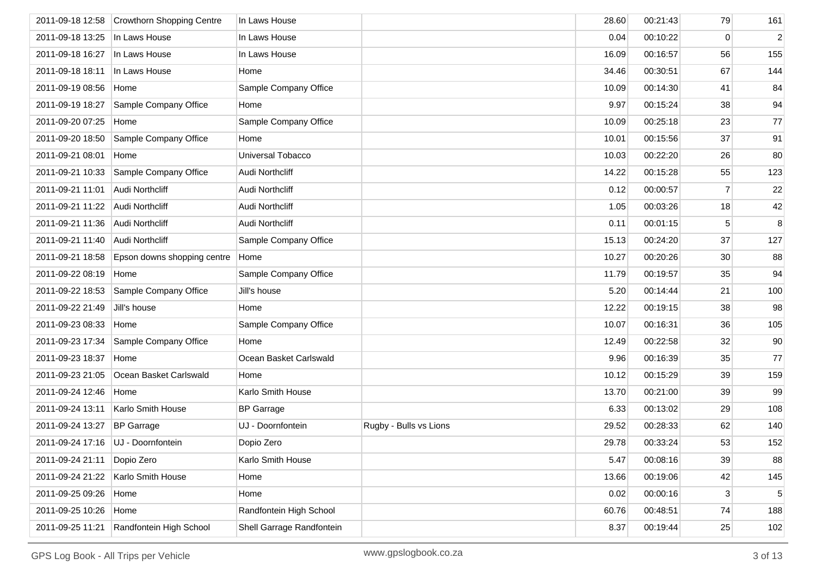| 2011-09-18 12:58 | <b>Crowthorn Shopping Centre</b> | In Laws House             |                        | 28.60 | 00:21:43 | 79             | 161            |
|------------------|----------------------------------|---------------------------|------------------------|-------|----------|----------------|----------------|
| 2011-09-18 13:25 | In Laws House                    | In Laws House             |                        | 0.04  | 00:10:22 | $\overline{0}$ | $\overline{c}$ |
| 2011-09-18 16:27 | In Laws House                    | In Laws House             |                        | 16.09 | 00:16:57 | 56             | 155            |
| 2011-09-18 18:11 | In Laws House                    | Home                      |                        | 34.46 | 00:30:51 | 67             | 144            |
| 2011-09-19 08:56 | Home                             | Sample Company Office     |                        | 10.09 | 00:14:30 | 41             | 84             |
| 2011-09-19 18:27 | Sample Company Office            | Home                      |                        | 9.97  | 00:15:24 | 38             | 94             |
| 2011-09-20 07:25 | Home                             | Sample Company Office     |                        | 10.09 | 00:25:18 | 23             | 77             |
| 2011-09-20 18:50 | Sample Company Office            | Home                      |                        | 10.01 | 00:15:56 | 37             | 91             |
| 2011-09-21 08:01 | Home                             | Universal Tobacco         |                        | 10.03 | 00:22:20 | 26             | 80             |
| 2011-09-21 10:33 | Sample Company Office            | Audi Northcliff           |                        | 14.22 | 00:15:28 | 55             | 123            |
| 2011-09-21 11:01 | Audi Northcliff                  | Audi Northcliff           |                        | 0.12  | 00:00:57 | 7              | 22             |
| 2011-09-21 11:22 | Audi Northcliff                  | Audi Northcliff           |                        | 1.05  | 00:03:26 | 18             | 42             |
| 2011-09-21 11:36 | Audi Northcliff                  | Audi Northcliff           |                        | 0.11  | 00:01:15 | 5              | 8              |
| 2011-09-21 11:40 | Audi Northcliff                  | Sample Company Office     |                        | 15.13 | 00:24:20 | 37             | 127            |
| 2011-09-21 18:58 | Epson downs shopping centre      | Home                      |                        | 10.27 | 00:20:26 | 30             | 88             |
| 2011-09-22 08:19 | Home                             | Sample Company Office     |                        | 11.79 | 00:19:57 | 35             | 94             |
| 2011-09-22 18:53 | Sample Company Office            | Jill's house              |                        | 5.20  | 00:14:44 | 21             | 100            |
| 2011-09-22 21:49 | Jill's house                     | Home                      |                        | 12.22 | 00:19:15 | 38             | 98             |
| 2011-09-23 08:33 | Home                             | Sample Company Office     |                        | 10.07 | 00:16:31 | 36             | 105            |
| 2011-09-23 17:34 | Sample Company Office            | Home                      |                        | 12.49 | 00:22:58 | 32             | 90             |
| 2011-09-23 18:37 | Home                             | Ocean Basket Carlswald    |                        | 9.96  | 00:16:39 | 35             | 77             |
| 2011-09-23 21:05 | Ocean Basket Carlswald           | Home                      |                        | 10.12 | 00:15:29 | 39             | 159            |
| 2011-09-24 12:46 | Home                             | Karlo Smith House         |                        | 13.70 | 00:21:00 | 39             | 99             |
| 2011-09-24 13:11 | <b>Karlo Smith House</b>         | <b>BP</b> Garrage         |                        | 6.33  | 00:13:02 | 29             | 108            |
| 2011-09-24 13:27 | <b>BP</b> Garrage                | UJ - Doornfontein         | Rugby - Bulls vs Lions | 29.52 | 00:28:33 | 62             | 140            |
| 2011-09-24 17:16 | UJ - Doornfontein                | Dopio Zero                |                        | 29.78 | 00:33:24 | 53             | 152            |
| 2011-09-24 21:11 | Dopio Zero                       | Karlo Smith House         |                        | 5.47  | 00:08:16 | 39             | 88             |
| 2011-09-24 21:22 | Karlo Smith House                | Home                      |                        | 13.66 | 00:19:06 | 42             | 145            |
| 2011-09-25 09:26 | Home                             | Home                      |                        | 0.02  | 00:00:16 | 3              | 5              |
| 2011-09-25 10:26 | Home                             | Randfontein High School   |                        | 60.76 | 00:48:51 | 74             | 188            |
| 2011-09-25 11:21 | Randfontein High School          | Shell Garrage Randfontein |                        | 8.37  | 00:19:44 | 25             | 102            |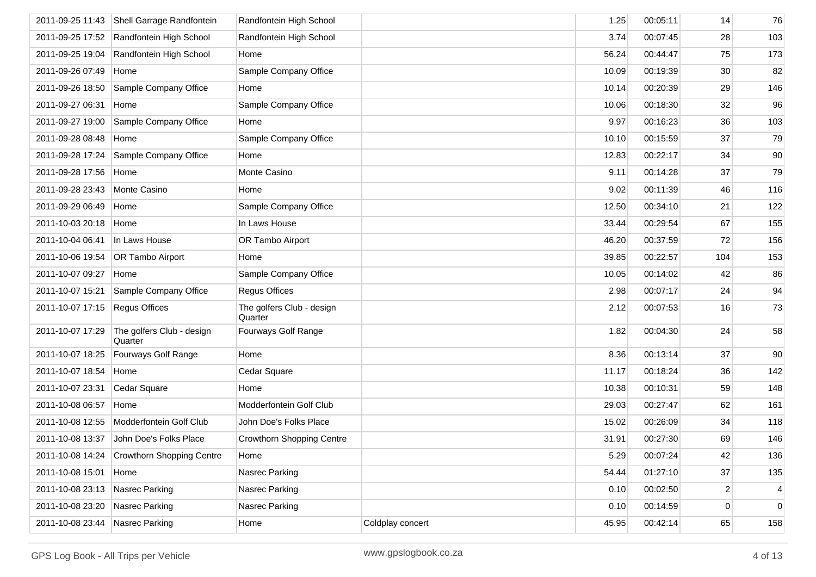| 2011-09-25 11:43                | Shell Garrage Randfontein            | Randfontein High School              |                  | 1.25  | 00:05:11 | 14             | 76             |
|---------------------------------|--------------------------------------|--------------------------------------|------------------|-------|----------|----------------|----------------|
| 2011-09-25 17:52                | Randfontein High School              | Randfontein High School              |                  | 3.74  | 00:07:45 | 28             | 103            |
| 2011-09-25 19:04                | Randfontein High School              | Home                                 |                  | 56.24 | 00:44:47 | 75             | 173            |
| 2011-09-26 07:49                | Home                                 | Sample Company Office                |                  | 10.09 | 00:19:39 | 30             | 82             |
| 2011-09-26 18:50                | Sample Company Office                | Home                                 |                  | 10.14 | 00:20:39 | 29             | 146            |
| 2011-09-27 06:31                | Home                                 | Sample Company Office                |                  | 10.06 | 00:18:30 | 32             | 96             |
| 2011-09-27 19:00                | Sample Company Office                | Home                                 |                  | 9.97  | 00:16:23 | 36             | 103            |
| 2011-09-28 08:48                | Home                                 | Sample Company Office                |                  | 10.10 | 00:15:59 | 37             | 79             |
| 2011-09-28 17:24                | Sample Company Office                | Home                                 |                  | 12.83 | 00:22:17 | 34             | 90             |
| 2011-09-28 17:56                | Home                                 | Monte Casino                         |                  | 9.11  | 00:14:28 | 37             | 79             |
| 2011-09-28 23:43                | Monte Casino                         | Home                                 |                  | 9.02  | 00:11:39 | 46             | 116            |
| 2011-09-29 06:49                | Home                                 | Sample Company Office                |                  | 12.50 | 00:34:10 | 21             | 122            |
| 2011-10-03 20:18                | Home                                 | In Laws House                        |                  | 33.44 | 00:29:54 | 67             | 155            |
| 2011-10-04 06:41                | In Laws House                        | OR Tambo Airport                     |                  | 46.20 | 00:37:59 | 72             | 156            |
| 2011-10-06 19:54                | OR Tambo Airport                     | Home                                 |                  | 39.85 | 00:22:57 | 104            | 153            |
| 2011-10-07 09:27                | Home                                 | Sample Company Office                |                  | 10.05 | 00:14:02 | 42             | 86             |
| 2011-10-07 15:21                | Sample Company Office                | Regus Offices                        |                  | 2.98  | 00:07:17 | 24             | 94             |
| 2011-10-07 17:15                | Regus Offices                        | The golfers Club - design<br>Quarter |                  | 2.12  | 00:07:53 | 16             | 73             |
| 2011-10-07 17:29                | The golfers Club - design<br>Quarter | Fourways Golf Range                  |                  | 1.82  | 00:04:30 | 24             | 58             |
| 2011-10-07 18:25                | Fourways Golf Range                  | Home                                 |                  | 8.36  | 00:13:14 | 37             | 90             |
| 2011-10-07 18:54                | Home                                 | Cedar Square                         |                  | 11.17 | 00:18:24 | 36             | 142            |
| 2011-10-07 23:31                | Cedar Square                         | Home                                 |                  | 10.38 | 00:10:31 | 59             | 148            |
| 2011-10-08 06:57                | Home                                 | Modderfontein Golf Club              |                  | 29.03 | 00:27:47 | 62             | 161            |
| 2011-10-08 12:55                | Modderfontein Golf Club              | John Doe's Folks Place               |                  | 15.02 | 00:26:09 | 34             | 118            |
| 2011-10-08 13:37                | John Doe's Folks Place               | <b>Crowthorn Shopping Centre</b>     |                  | 31.91 | 00:27:30 | 69             | 146            |
| 2011-10-08 14:24                | <b>Crowthorn Shopping Centre</b>     | Home                                 |                  | 5.29  | 00:07:24 | 42             | 136            |
| 2011-10-08 15:01                | Home                                 | Nasrec Parking                       |                  | 54.44 | 01:27:10 | 37             | 135            |
| 2011-10-08 23:13 Nasrec Parking |                                      | Nasrec Parking                       |                  | 0.10  | 00:02:50 | $\mathbf{2}$   | 4              |
| 2011-10-08 23:20                | Nasrec Parking                       | Nasrec Parking                       |                  | 0.10  | 00:14:59 | $\overline{0}$ | $\overline{0}$ |
| 2011-10-08 23:44                | Nasrec Parking                       | Home                                 | Coldplay concert | 45.95 | 00:42:14 | 65             | 158            |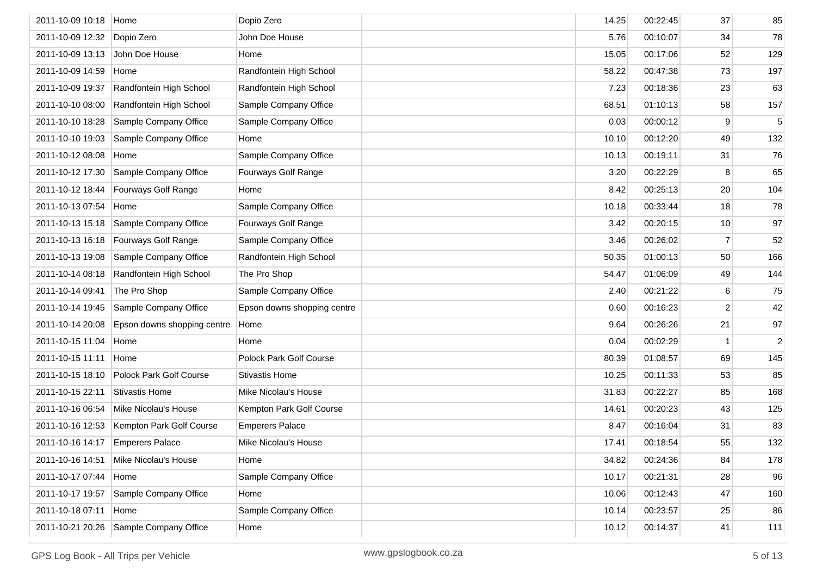| 2011-10-09 10:18 | Home                        | Dopio Zero                  | 14.25 | 00:22:45 | 37             | 85             |
|------------------|-----------------------------|-----------------------------|-------|----------|----------------|----------------|
| 2011-10-09 12:32 | Dopio Zero                  | John Doe House              | 5.76  | 00:10:07 | 34             | 78             |
| 2011-10-09 13:13 | John Doe House              | Home                        | 15.05 | 00:17:06 | 52             | 129            |
| 2011-10-09 14:59 | Home                        | Randfontein High School     | 58.22 | 00:47:38 | 73             | 197            |
| 2011-10-09 19:37 | Randfontein High School     | Randfontein High School     | 7.23  | 00:18:36 | 23             | 63             |
| 2011-10-10 08:00 | Randfontein High School     | Sample Company Office       | 68.51 | 01:10:13 | 58             | 157            |
| 2011-10-10 18:28 | Sample Company Office       | Sample Company Office       | 0.03  | 00:00:12 | 9              | 5              |
| 2011-10-10 19:03 | Sample Company Office       | Home                        | 10.10 | 00:12:20 | 49             | 132            |
| 2011-10-12 08:08 | Home                        | Sample Company Office       | 10.13 | 00:19:11 | 31             | 76             |
| 2011-10-12 17:30 | Sample Company Office       | Fourways Golf Range         | 3.20  | 00:22:29 | 8              | 65             |
| 2011-10-12 18:44 | Fourways Golf Range         | Home                        | 8.42  | 00:25:13 | 20             | 104            |
| 2011-10-13 07:54 | Home                        | Sample Company Office       | 10.18 | 00:33:44 | 18             | 78             |
| 2011-10-13 15:18 | Sample Company Office       | Fourways Golf Range         | 3.42  | 00:20:15 | 10             | 97             |
| 2011-10-13 16:18 | Fourways Golf Range         | Sample Company Office       | 3.46  | 00:26:02 | $\overline{7}$ | 52             |
| 2011-10-13 19:08 | Sample Company Office       | Randfontein High School     | 50.35 | 01:00:13 | 50             | 166            |
| 2011-10-14 08:18 | Randfontein High School     | The Pro Shop                | 54.47 | 01:06:09 | 49             | 144            |
| 2011-10-14 09:41 | The Pro Shop                | Sample Company Office       | 2.40  | 00:21:22 | 6              | 75             |
| 2011-10-14 19:45 | Sample Company Office       | Epson downs shopping centre | 0.60  | 00:16:23 | $\overline{2}$ | 42             |
| 2011-10-14 20:08 | Epson downs shopping centre | Home                        | 9.64  | 00:26:26 | 21             | 97             |
| 2011-10-15 11:04 | Home                        | Home                        | 0.04  | 00:02:29 | 1              | $\overline{c}$ |
| 2011-10-15 11:11 | Home                        | Polock Park Golf Course     | 80.39 | 01:08:57 | 69             | 145            |
| 2011-10-15 18:10 | Polock Park Golf Course     | <b>Stivastis Home</b>       | 10.25 | 00:11:33 | 53             | 85             |
| 2011-10-15 22:11 | <b>Stivastis Home</b>       | Mike Nicolau's House        | 31.83 | 00:22:27 | 85             | 168            |
| 2011-10-16 06:54 | Mike Nicolau's House        | Kempton Park Golf Course    | 14.61 | 00:20:23 | 43             | 125            |
| 2011-10-16 12:53 | Kempton Park Golf Course    | <b>Emperers Palace</b>      | 8.47  | 00:16:04 | 31             | 83             |
| 2011-10-16 14:17 | <b>Emperers Palace</b>      | Mike Nicolau's House        | 17.41 | 00:18:54 | 55             | 132            |
| 2011-10-16 14:51 | Mike Nicolau's House        | Home                        | 34.82 | 00:24:36 | 84             | 178            |
| 2011-10-17 07:44 | Home                        | Sample Company Office       | 10.17 | 00:21:31 | 28             | 96             |
| 2011-10-17 19:57 | Sample Company Office       | Home                        | 10.06 | 00:12:43 | 47             | 160            |
| 2011-10-18 07:11 | Home                        | Sample Company Office       | 10.14 | 00:23:57 | 25             | 86             |
| 2011-10-21 20:26 | Sample Company Office       | Home                        | 10.12 | 00:14:37 | 41             | 111            |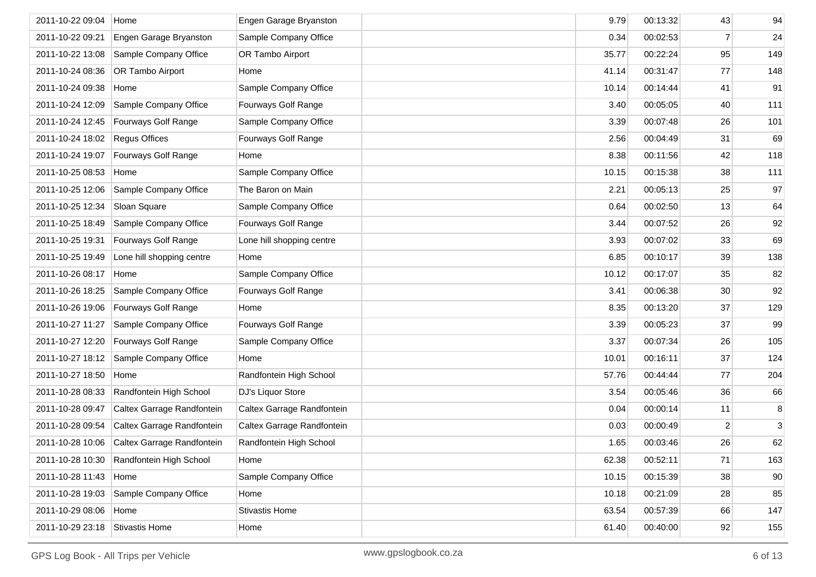| 2011-10-22 09:04 | Home                                     | Engen Garage Bryanston     | 9.79  | 00:13:32 | 43 | 94  |
|------------------|------------------------------------------|----------------------------|-------|----------|----|-----|
| 2011-10-22 09:21 | Engen Garage Bryanston                   | Sample Company Office      | 0.34  | 00:02:53 | 7  | 24  |
| 2011-10-22 13:08 | Sample Company Office                    | OR Tambo Airport           | 35.77 | 00:22:24 | 95 | 149 |
| 2011-10-24 08:36 | OR Tambo Airport                         | Home                       | 41.14 | 00:31:47 | 77 | 148 |
| 2011-10-24 09:38 | Home                                     | Sample Company Office      | 10.14 | 00:14:44 | 41 | 91  |
| 2011-10-24 12:09 | Sample Company Office                    | Fourways Golf Range        | 3.40  | 00:05:05 | 40 | 111 |
| 2011-10-24 12:45 | Fourways Golf Range                      | Sample Company Office      | 3.39  | 00:07:48 | 26 | 101 |
| 2011-10-24 18:02 | Regus Offices                            | Fourways Golf Range        | 2.56  | 00:04:49 | 31 | 69  |
| 2011-10-24 19:07 | Fourways Golf Range                      | Home                       | 8.38  | 00:11:56 | 42 | 118 |
| 2011-10-25 08:53 | Home                                     | Sample Company Office      | 10.15 | 00:15:38 | 38 | 111 |
| 2011-10-25 12:06 | Sample Company Office                    | The Baron on Main          | 2.21  | 00:05:13 | 25 | 97  |
| 2011-10-25 12:34 | Sloan Square                             | Sample Company Office      | 0.64  | 00:02:50 | 13 | 64  |
| 2011-10-25 18:49 | Sample Company Office                    | Fourways Golf Range        | 3.44  | 00:07:52 | 26 | 92  |
| 2011-10-25 19:31 | Fourways Golf Range                      | Lone hill shopping centre  | 3.93  | 00:07:02 | 33 | 69  |
| 2011-10-25 19:49 | Lone hill shopping centre                | Home                       | 6.85  | 00:10:17 | 39 | 138 |
| 2011-10-26 08:17 | Home                                     | Sample Company Office      | 10.12 | 00:17:07 | 35 | 82  |
| 2011-10-26 18:25 | Sample Company Office                    | Fourways Golf Range        | 3.41  | 00:06:38 | 30 | 92  |
| 2011-10-26 19:06 | Fourways Golf Range                      | Home                       | 8.35  | 00:13:20 | 37 | 129 |
| 2011-10-27 11:27 | Sample Company Office                    | Fourways Golf Range        | 3.39  | 00:05:23 | 37 | 99  |
| 2011-10-27 12:20 | Fourways Golf Range                      | Sample Company Office      | 3.37  | 00:07:34 | 26 | 105 |
| 2011-10-27 18:12 | Sample Company Office                    | Home                       | 10.01 | 00:16:11 | 37 | 124 |
| 2011-10-27 18:50 | Home                                     | Randfontein High School    | 57.76 | 00:44:44 | 77 | 204 |
| 2011-10-28 08:33 | Randfontein High School                  | DJ's Liquor Store          | 3.54  | 00:05:46 | 36 | 66  |
| 2011-10-28 09:47 | Caltex Garrage Randfontein               | Caltex Garrage Randfontein | 0.04  | 00:00:14 | 11 | 8   |
| 2011-10-28 09:54 | Caltex Garrage Randfontein               | Caltex Garrage Randfontein | 0.03  | 00:00:49 | 2  | 3   |
| 2011-10-28 10:06 | Caltex Garrage Randfontein               | Randfontein High School    | 1.65  | 00:03:46 | 26 | 62  |
|                  | 2011-10-28 10:30 Randfontein High School | Home                       | 62.38 | 00:52:11 | 71 | 163 |
| 2011-10-28 11:43 | Home                                     | Sample Company Office      | 10.15 | 00:15:39 | 38 | 90  |
| 2011-10-28 19:03 | Sample Company Office                    | Home                       | 10.18 | 00:21:09 | 28 | 85  |
| 2011-10-29 08:06 | Home                                     | <b>Stivastis Home</b>      | 63.54 | 00:57:39 | 66 | 147 |
| 2011-10-29 23:18 | <b>Stivastis Home</b>                    | Home                       | 61.40 | 00:40:00 | 92 | 155 |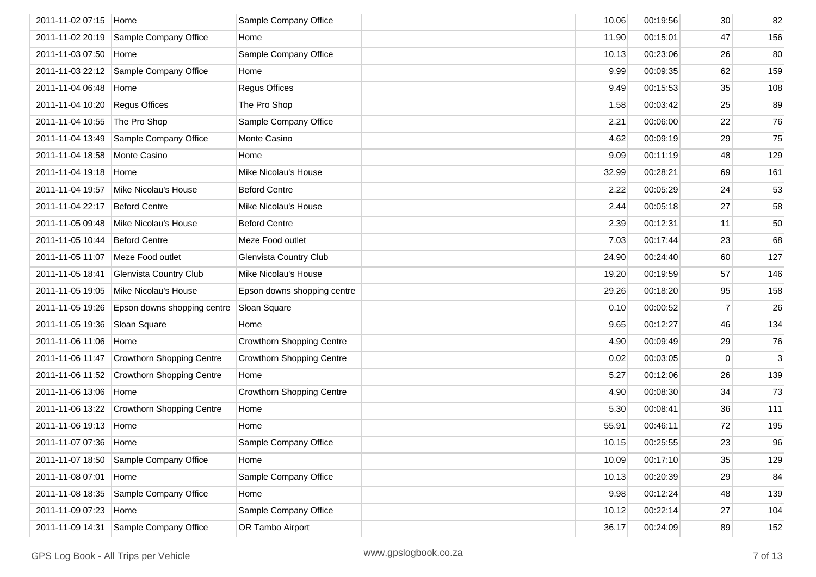| 2011-11-02 07:15      | Home                                   | Sample Company Office            | 10.06 | 00:19:56 | 30             | 82  |
|-----------------------|----------------------------------------|----------------------------------|-------|----------|----------------|-----|
| 2011-11-02 20:19      | Sample Company Office                  | Home                             | 11.90 | 00:15:01 | 47             | 156 |
| 2011-11-03 07:50      | Home                                   | Sample Company Office            | 10.13 | 00:23:06 | 26             | 80  |
| 2011-11-03 22:12      | Sample Company Office                  | Home                             | 9.99  | 00:09:35 | 62             | 159 |
| 2011-11-04 06:48      | Home                                   | Regus Offices                    | 9.49  | 00:15:53 | 35             | 108 |
| 2011-11-04 10:20      | Regus Offices                          | The Pro Shop                     | 1.58  | 00:03:42 | 25             | 89  |
| 2011-11-04 10:55      | The Pro Shop                           | Sample Company Office            | 2.21  | 00:06:00 | 22             | 76  |
| 2011-11-04 13:49      | Sample Company Office                  | Monte Casino                     | 4.62  | 00:09:19 | 29             | 75  |
| 2011-11-04 18:58      | Monte Casino                           | Home                             | 9.09  | 00:11:19 | 48             | 129 |
| 2011-11-04 19:18      | Home                                   | Mike Nicolau's House             | 32.99 | 00:28:21 | 69             | 161 |
| 2011-11-04 19:57      | Mike Nicolau's House                   | <b>Beford Centre</b>             | 2.22  | 00:05:29 | 24             | 53  |
| 2011-11-04 22:17      | <b>Beford Centre</b>                   | Mike Nicolau's House             | 2.44  | 00:05:18 | 27             | 58  |
| 2011-11-05 09:48      | Mike Nicolau's House                   | <b>Beford Centre</b>             | 2.39  | 00:12:31 | 11             | 50  |
| 2011-11-05 10:44      | Beford Centre                          | Meze Food outlet                 | 7.03  | 00:17:44 | 23             | 68  |
| 2011-11-05 11:07      | Meze Food outlet                       | Glenvista Country Club           | 24.90 | 00:24:40 | 60             | 127 |
| 2011-11-05 18:41      | Glenvista Country Club                 | Mike Nicolau's House             | 19.20 | 00:19:59 | 57             | 146 |
| 2011-11-05 19:05      | Mike Nicolau's House                   | Epson downs shopping centre      | 29.26 | 00:18:20 | 95             | 158 |
| 2011-11-05 19:26      | Epson downs shopping centre            | Sloan Square                     | 0.10  | 00:00:52 | $\overline{7}$ | 26  |
| 2011-11-05 19:36      | Sloan Square                           | Home                             | 9.65  | 00:12:27 | 46             | 134 |
| 2011-11-06 11:06      | Home                                   | <b>Crowthorn Shopping Centre</b> | 4.90  | 00:09:49 | 29             | 76  |
| 2011-11-06 11:47      | <b>Crowthorn Shopping Centre</b>       | <b>Crowthorn Shopping Centre</b> | 0.02  | 00:03:05 | 0              | 3   |
| 2011-11-06 11:52      | <b>Crowthorn Shopping Centre</b>       | Home                             | 5.27  | 00:12:06 | 26             | 139 |
| 2011-11-06 13:06      | Home                                   | <b>Crowthorn Shopping Centre</b> | 4.90  | 00:08:30 | 34             | 73  |
| 2011-11-06 13:22      | <b>Crowthorn Shopping Centre</b>       | Home                             | 5.30  | 00:08:41 | 36             | 111 |
| 2011-11-06 19:13      | <b>Home</b>                            | Home                             | 55.91 | 00:46:11 | 72             | 195 |
| 2011-11-07 07:36      | Home                                   | Sample Company Office            | 10.15 | 00:25:55 | 23             | 96  |
|                       | 2011-11-07 18:50 Sample Company Office | Home                             | 10.09 | 00:17:10 | 35             | 129 |
| 2011-11-08 07:01 Home |                                        | Sample Company Office            | 10.13 | 00:20:39 | 29             | 84  |
| 2011-11-08 18:35      | Sample Company Office                  | Home                             | 9.98  | 00:12:24 | 48             | 139 |
| 2011-11-09 07:23      | Home                                   | Sample Company Office            | 10.12 | 00:22:14 | 27             | 104 |
| 2011-11-09 14:31      | Sample Company Office                  | OR Tambo Airport                 | 36.17 | 00:24:09 | 89             | 152 |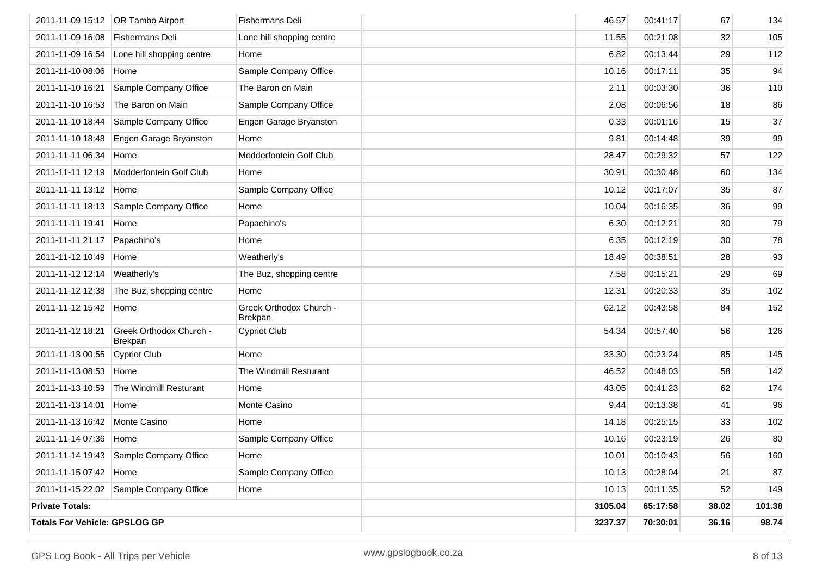| 2011-11-09 15:12                     | <b>OR Tambo Airport</b>                          | Fishermans Deli                           | 46.57   | 00:41:17 | 67              | 134    |
|--------------------------------------|--------------------------------------------------|-------------------------------------------|---------|----------|-----------------|--------|
| 2011-11-09 16:08                     | Fishermans Deli                                  | Lone hill shopping centre                 | 11.55   | 00:21:08 | 32              | 105    |
| 2011-11-09 16:54                     | Lone hill shopping centre                        | Home                                      | 6.82    | 00:13:44 | 29              | 112    |
| 2011-11-10 08:06                     | Home                                             | Sample Company Office                     | 10.16   | 00:17:11 | 35              | 94     |
| 2011-11-10 16:21                     | Sample Company Office                            | The Baron on Main                         | 2.11    | 00:03:30 | 36              | 110    |
| 2011-11-10 16:53                     | The Baron on Main                                | Sample Company Office                     | 2.08    | 00:06:56 | 18              | 86     |
| 2011-11-10 18:44                     | Sample Company Office                            | Engen Garage Bryanston                    | 0.33    | 00:01:16 | 15              | 37     |
| 2011-11-10 18:48                     | Engen Garage Bryanston                           | Home                                      | 9.81    | 00:14:48 | 39              | 99     |
| 2011-11-11 06:34                     | Home                                             | Modderfontein Golf Club                   | 28.47   | 00:29:32 | 57              | 122    |
| 2011-11-11 12:19                     | Modderfontein Golf Club                          | Home                                      | 30.91   | 00:30:48 | 60              | 134    |
| 2011-11-11 13:12                     | Home                                             | Sample Company Office                     | 10.12   | 00:17:07 | 35              | 87     |
| 2011-11-11 18:13                     | Sample Company Office                            | Home                                      | 10.04   | 00:16:35 | 36              | 99     |
| 2011-11-11 19:41                     | Home                                             | Papachino's                               | 6.30    | 00:12:21 | 30 <sup>°</sup> | 79     |
| 2011-11-11 21:17                     | Papachino's                                      | Home                                      | 6.35    | 00:12:19 | 30              | 78     |
| 2011-11-12 10:49                     | Home                                             | Weatherly's                               | 18.49   | 00:38:51 | 28              | 93     |
| 2011-11-12 12:14                     | Weatherly's                                      | The Buz, shopping centre                  | 7.58    | 00:15:21 | 29              | 69     |
| 2011-11-12 12:38                     | The Buz, shopping centre                         | Home                                      | 12.31   | 00:20:33 | 35              | 102    |
| 2011-11-12 15:42                     | Home                                             | Greek Orthodox Church -<br><b>Brekpan</b> | 62.12   | 00:43:58 | 84              | 152    |
| 2011-11-12 18:21                     | <b>Greek Orthodox Church -</b><br><b>Brekpan</b> | <b>Cypriot Club</b>                       | 54.34   | 00:57:40 | 56              | 126    |
| 2011-11-13 00:55                     | <b>Cypriot Club</b>                              | Home                                      | 33.30   | 00:23:24 | 85              | 145    |
| 2011-11-13 08:53                     | Home                                             | The Windmill Resturant                    | 46.52   | 00:48:03 | 58              | 142    |
| 2011-11-13 10:59                     | The Windmill Resturant                           | Home                                      | 43.05   | 00:41:23 | 62              | 174    |
| 2011-11-13 14:01                     | Home                                             | Monte Casino                              | 9.44    | 00:13:38 | 41              | 96     |
| 2011-11-13 16:42                     | Monte Casino                                     | Home                                      | 14.18   | 00:25:15 | 33              | 102    |
| 2011-11-14 07:36                     | <b>Home</b>                                      | Sample Company Office                     | 10.16   | 00:23:19 | 26              | 80     |
|                                      | 2011-11-14 19:43 Sample Company Office           | Home                                      | 10.01   | 00:10:43 | 56              | 160    |
| 2011-11-15 07:42 Home                |                                                  | Sample Company Office                     | 10.13   | 00:28:04 | 21              | 87     |
|                                      | 2011-11-15 22:02 Sample Company Office           | Home                                      | 10.13   | 00:11:35 | 52              | 149    |
| <b>Private Totals:</b>               |                                                  |                                           | 3105.04 | 65:17:58 | 38.02           | 101.38 |
| <b>Totals For Vehicle: GPSLOG GP</b> |                                                  |                                           | 3237.37 | 70:30:01 | 36.16           | 98.74  |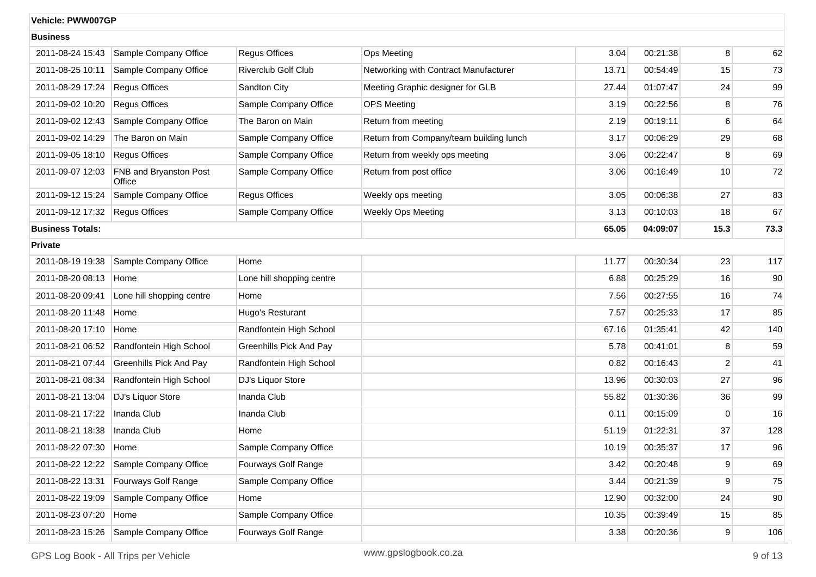| Vehicle: PWW007GP       |                                  |                           |                                         |       |          |                |      |
|-------------------------|----------------------------------|---------------------------|-----------------------------------------|-------|----------|----------------|------|
| <b>Business</b>         |                                  |                           |                                         |       |          |                |      |
| 2011-08-24 15:43        | Sample Company Office            | <b>Regus Offices</b>      | <b>Ops Meeting</b>                      | 3.04  | 00:21:38 | 8              | 62   |
| 2011-08-25 10:11        | Sample Company Office            | Riverclub Golf Club       | Networking with Contract Manufacturer   | 13.71 | 00:54:49 | 15             | 73   |
| 2011-08-29 17:24        | <b>Regus Offices</b>             | Sandton City              | Meeting Graphic designer for GLB        | 27.44 | 01:07:47 | 24             | 99   |
| 2011-09-02 10:20        | <b>Regus Offices</b>             | Sample Company Office     | <b>OPS Meeting</b>                      | 3.19  | 00:22:56 | 8              | 76   |
| 2011-09-02 12:43        | Sample Company Office            | The Baron on Main         | Return from meeting                     | 2.19  | 00:19:11 | 6              | 64   |
| 2011-09-02 14:29        | The Baron on Main                | Sample Company Office     | Return from Company/team building lunch | 3.17  | 00:06:29 | 29             | 68   |
| 2011-09-05 18:10        | <b>Regus Offices</b>             | Sample Company Office     | Return from weekly ops meeting          | 3.06  | 00:22:47 | 8              | 69   |
| 2011-09-07 12:03        | FNB and Bryanston Post<br>Office | Sample Company Office     | Return from post office                 | 3.06  | 00:16:49 | 10             | 72   |
| 2011-09-12 15:24        | Sample Company Office            | <b>Regus Offices</b>      | Weekly ops meeting                      | 3.05  | 00:06:38 | 27             | 83   |
| 2011-09-12 17:32        | <b>Regus Offices</b>             | Sample Company Office     | <b>Weekly Ops Meeting</b>               | 3.13  | 00:10:03 | 18             | 67   |
| <b>Business Totals:</b> |                                  |                           |                                         | 65.05 | 04:09:07 | 15.3           | 73.3 |
| <b>Private</b>          |                                  |                           |                                         |       |          |                |      |
| 2011-08-19 19:38        | Sample Company Office            | Home                      |                                         | 11.77 | 00:30:34 | 23             | 117  |
| 2011-08-20 08:13        | Home                             | Lone hill shopping centre |                                         | 6.88  | 00:25:29 | 16             | 90   |
| 2011-08-20 09:41        | Lone hill shopping centre        | Home                      |                                         | 7.56  | 00:27:55 | 16             | 74   |
| 2011-08-20 11:48        | Home                             | Hugo's Resturant          |                                         | 7.57  | 00:25:33 | 17             | 85   |
| 2011-08-20 17:10        | Home                             | Randfontein High School   |                                         | 67.16 | 01:35:41 | 42             | 140  |
| 2011-08-21 06:52        | Randfontein High School          | Greenhills Pick And Pay   |                                         | 5.78  | 00:41:01 | 8              | 59   |
| 2011-08-21 07:44        | Greenhills Pick And Pay          | Randfontein High School   |                                         | 0.82  | 00:16:43 | $\overline{c}$ | 41   |
| 2011-08-21 08:34        | Randfontein High School          | DJ's Liquor Store         |                                         | 13.96 | 00:30:03 | 27             | 96   |
| 2011-08-21 13:04        | DJ's Liquor Store                | Inanda Club               |                                         | 55.82 | 01:30:36 | 36             | 99   |
| 2011-08-21 17:22        | Inanda Club                      | Inanda Club               |                                         | 0.11  | 00:15:09 | 0              | 16   |
| 2011-08-21 18:38        | Inanda Club                      | Home                      |                                         | 51.19 | 01:22:31 | 37             | 128  |
| 2011-08-22 07:30 Home   |                                  | Sample Company Office     |                                         | 10.19 | 00:35:37 | 17             | 96   |
| 2011-08-22 12:22        | Sample Company Office            | Fourways Golf Range       |                                         | 3.42  | 00:20:48 | 9 <sup>°</sup> | 69   |
| 2011-08-22 13:31        | Fourways Golf Range              | Sample Company Office     |                                         | 3.44  | 00:21:39 | 9              | 75   |
| 2011-08-22 19:09        | Sample Company Office            | Home                      |                                         | 12.90 | 00:32:00 | 24             | 90   |
| 2011-08-23 07:20        | Home                             | Sample Company Office     |                                         | 10.35 | 00:39:49 | 15             | 85   |
| 2011-08-23 15:26        | Sample Company Office            | Fourways Golf Range       |                                         | 3.38  | 00:20:36 | 9 <sup>1</sup> | 106  |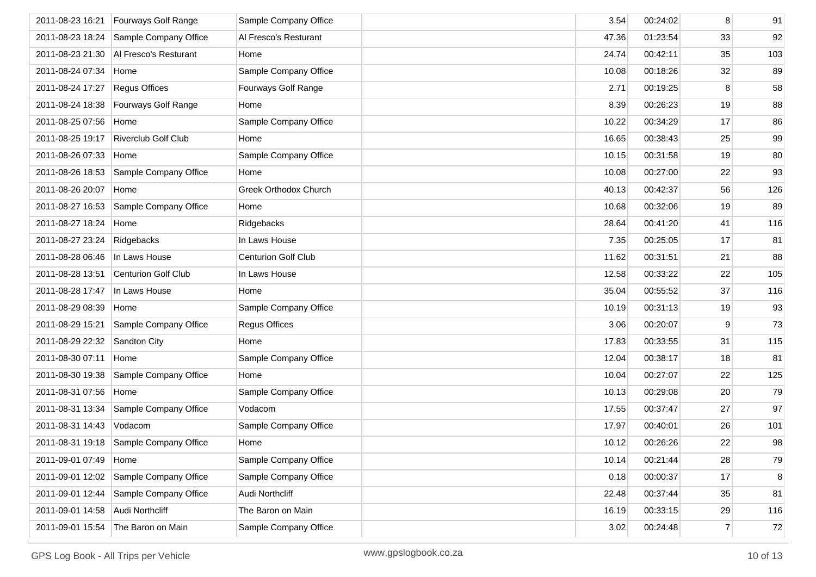| 2011-08-23 16:21 | Fourways Golf Range                    | Sample Company Office      | 3.54  | 00:24:02 | 8              | 91  |
|------------------|----------------------------------------|----------------------------|-------|----------|----------------|-----|
| 2011-08-23 18:24 | Sample Company Office                  | Al Fresco's Resturant      | 47.36 | 01:23:54 | 33             | 92  |
| 2011-08-23 21:30 | Al Fresco's Resturant                  | Home                       | 24.74 | 00:42:11 | 35             | 103 |
| 2011-08-24 07:34 | Home                                   | Sample Company Office      | 10.08 | 00:18:26 | 32             | 89  |
| 2011-08-24 17:27 | <b>Regus Offices</b>                   | Fourways Golf Range        | 2.71  | 00:19:25 | 8              | 58  |
| 2011-08-24 18:38 | Fourways Golf Range                    | Home                       | 8.39  | 00:26:23 | 19             | 88  |
| 2011-08-25 07:56 | Home                                   | Sample Company Office      | 10.22 | 00:34:29 | 17             | 86  |
| 2011-08-25 19:17 | <b>Riverclub Golf Club</b>             | Home                       | 16.65 | 00:38:43 | 25             | 99  |
| 2011-08-26 07:33 | Home                                   | Sample Company Office      | 10.15 | 00:31:58 | 19             | 80  |
| 2011-08-26 18:53 | Sample Company Office                  | Home                       | 10.08 | 00:27:00 | 22             | 93  |
| 2011-08-26 20:07 | Home                                   | Greek Orthodox Church      | 40.13 | 00:42:37 | 56             | 126 |
| 2011-08-27 16:53 | Sample Company Office                  | Home                       | 10.68 | 00:32:06 | 19             | 89  |
| 2011-08-27 18:24 | Home                                   | Ridgebacks                 | 28.64 | 00:41:20 | 41             | 116 |
| 2011-08-27 23:24 | Ridgebacks                             | In Laws House              | 7.35  | 00:25:05 | 17             | 81  |
| 2011-08-28 06:46 | In Laws House                          | <b>Centurion Golf Club</b> | 11.62 | 00:31:51 | 21             | 88  |
| 2011-08-28 13:51 | <b>Centurion Golf Club</b>             | In Laws House              | 12.58 | 00:33:22 | 22             | 105 |
| 2011-08-28 17:47 | In Laws House                          | Home                       | 35.04 | 00:55:52 | 37             | 116 |
| 2011-08-29 08:39 | Home                                   | Sample Company Office      | 10.19 | 00:31:13 | 19             | 93  |
| 2011-08-29 15:21 | Sample Company Office                  | <b>Regus Offices</b>       | 3.06  | 00:20:07 | 9              | 73  |
| 2011-08-29 22:32 | Sandton City                           | Home                       | 17.83 | 00:33:55 | 31             | 115 |
| 2011-08-30 07:11 | Home                                   | Sample Company Office      | 12.04 | 00:38:17 | 18             | 81  |
| 2011-08-30 19:38 | Sample Company Office                  | Home                       | 10.04 | 00:27:07 | 22             | 125 |
| 2011-08-31 07:56 | Home                                   | Sample Company Office      | 10.13 | 00:29:08 | 20             | 79  |
| 2011-08-31 13:34 | Sample Company Office                  | Vodacom                    | 17.55 | 00:37:47 | 27             | 97  |
| 2011-08-31 14:43 | Vodacom                                | Sample Company Office      | 17.97 | 00:40:01 | 26             | 101 |
|                  | 2011-08-31 19:18 Sample Company Office | Home                       | 10.12 | 00:26:26 | 22             | 98  |
| 2011-09-01 07:49 | Home                                   | Sample Company Office      | 10.14 | 00:21:44 | 28             | 79  |
| 2011-09-01 12:02 | Sample Company Office                  | Sample Company Office      | 0.18  | 00:00:37 | 17             | 8   |
| 2011-09-01 12:44 | Sample Company Office                  | Audi Northcliff            | 22.48 | 00:37:44 | 35             | 81  |
| 2011-09-01 14:58 | Audi Northcliff                        | The Baron on Main          | 16.19 | 00:33:15 | 29             | 116 |
| 2011-09-01 15:54 | The Baron on Main                      | Sample Company Office      | 3.02  | 00:24:48 | $\overline{7}$ | 72  |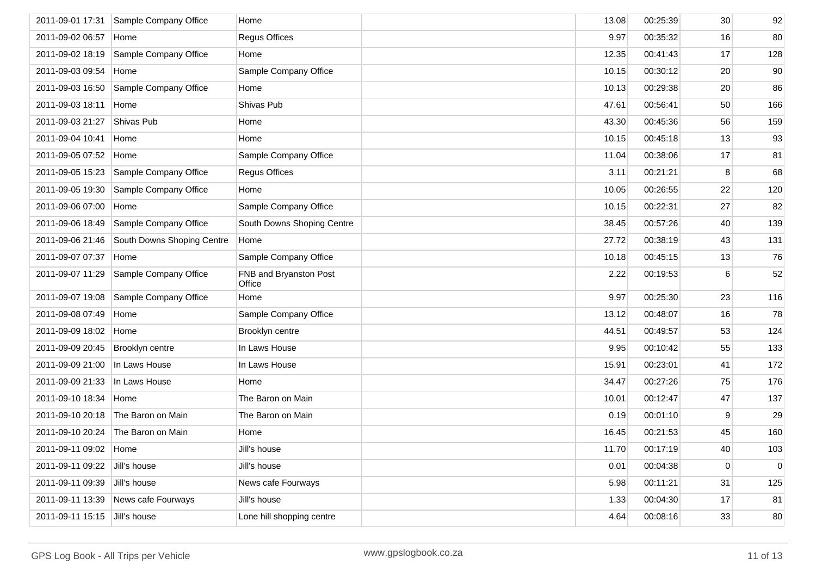| 2011-09-01 17:31      | Sample Company Office              | Home                             | 13.08 | 00:25:39 | 30             | 92           |
|-----------------------|------------------------------------|----------------------------------|-------|----------|----------------|--------------|
| 2011-09-02 06:57      | Home                               | Regus Offices                    | 9.97  | 00:35:32 | 16             | 80           |
| 2011-09-02 18:19      | Sample Company Office              | Home                             | 12.35 | 00:41:43 | 17             | 128          |
| 2011-09-03 09:54      | Home                               | Sample Company Office            | 10.15 | 00:30:12 | 20             | 90           |
| 2011-09-03 16:50      | Sample Company Office              | Home                             | 10.13 | 00:29:38 | 20             | 86           |
| 2011-09-03 18:11      | Home                               | Shivas Pub                       | 47.61 | 00:56:41 | 50             | 166          |
| 2011-09-03 21:27      | Shivas Pub                         | Home                             | 43.30 | 00:45:36 | 56             | 159          |
| 2011-09-04 10:41      | Home                               | Home                             | 10.15 | 00:45:18 | 13             | 93           |
| 2011-09-05 07:52      | Home                               | Sample Company Office            | 11.04 | 00:38:06 | 17             | 81           |
| 2011-09-05 15:23      | Sample Company Office              | Regus Offices                    | 3.11  | 00:21:21 | 8              | 68           |
| 2011-09-05 19:30      | Sample Company Office              | Home                             | 10.05 | 00:26:55 | 22             | 120          |
| 2011-09-06 07:00      | Home                               | Sample Company Office            | 10.15 | 00:22:31 | 27             | 82           |
| 2011-09-06 18:49      | Sample Company Office              | South Downs Shoping Centre       | 38.45 | 00:57:26 | 40             | 139          |
| 2011-09-06 21:46      | South Downs Shoping Centre         | Home                             | 27.72 | 00:38:19 | 43             | 131          |
| 2011-09-07 07:37      | Home                               | Sample Company Office            | 10.18 | 00:45:15 | 13             | 76           |
| 2011-09-07 11:29      | Sample Company Office              | FNB and Bryanston Post<br>Office | 2.22  | 00:19:53 | 6              | 52           |
| 2011-09-07 19:08      | Sample Company Office              | Home                             | 9.97  | 00:25:30 | 23             | 116          |
| 2011-09-08 07:49      | Home                               | Sample Company Office            | 13.12 | 00:48:07 | 16             | 78           |
| 2011-09-09 18:02      | Home                               | Brooklyn centre                  | 44.51 | 00:49:57 | 53             | 124          |
| 2011-09-09 20:45      | Brooklyn centre                    | In Laws House                    | 9.95  | 00:10:42 | 55             | 133          |
| 2011-09-09 21:00      | In Laws House                      | In Laws House                    | 15.91 | 00:23:01 | 41             | 172          |
| 2011-09-09 21:33      | In Laws House                      | Home                             | 34.47 | 00:27:26 | 75             | 176          |
| 2011-09-10 18:34      | Home                               | The Baron on Main                | 10.01 | 00:12:47 | 47             | 137          |
| 2011-09-10 20:18      | The Baron on Main                  | The Baron on Main                | 0.19  | 00:01:10 | 9              | 29           |
|                       | 2011-09-10 20:24 The Baron on Main | Home                             | 16.45 | 00:21:53 | 45             | 160          |
| 2011-09-11 09:02 Home |                                    | Jill's house                     | 11.70 | 00:17:19 | 40             | 103          |
| 2011-09-11 09:22      | Jill's house                       | Jill's house                     | 0.01  | 00:04:38 | $\overline{0}$ | $\mathbf{0}$ |
| 2011-09-11 09:39      | Jill's house                       | News cafe Fourways               | 5.98  | 00:11:21 | 31             | 125          |
| 2011-09-11 13:39      | News cafe Fourways                 | Jill's house                     | 1.33  | 00:04:30 | 17             | 81           |
| 2011-09-11 15:15      | Jill's house                       | Lone hill shopping centre        | 4.64  | 00:08:16 | 33             | 80           |